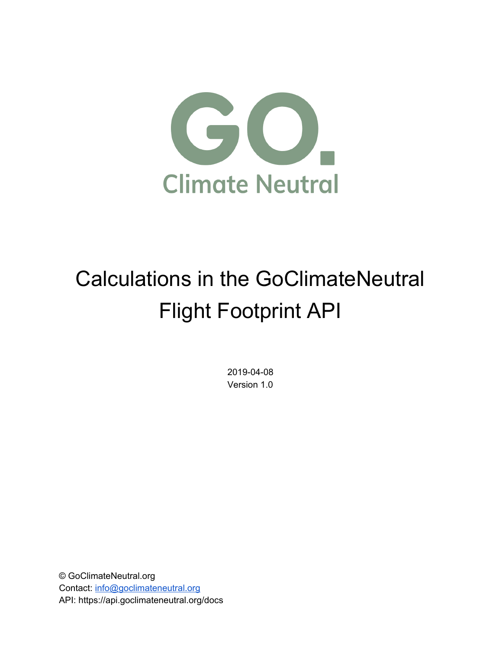

# Calculations in the GoClimateNeutral Flight Footprint API

2019-04-08 Version 1.0

© GoClimateNeutral.org Contact: [info@goclimateneutral.org](mailto:info@goclimateneutral.org) API: https://api.goclimateneutral.org/docs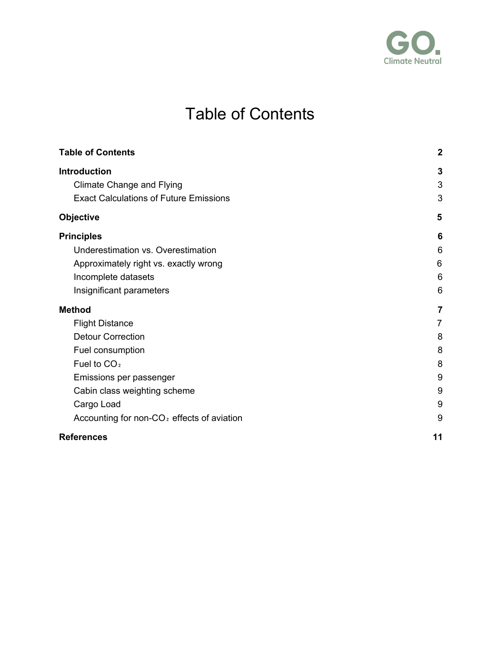

# Table of Contents

<span id="page-1-0"></span>

| <b>Table of Contents</b>                               | $\boldsymbol{2}$ |
|--------------------------------------------------------|------------------|
| <b>Introduction</b>                                    | 3                |
| <b>Climate Change and Flying</b>                       | 3                |
| <b>Exact Calculations of Future Emissions</b>          | 3                |
| <b>Objective</b>                                       | 5                |
| <b>Principles</b>                                      | 6                |
| Underestimation vs. Overestimation                     | 6                |
| Approximately right vs. exactly wrong                  | 6                |
| Incomplete datasets                                    | 6                |
| Insignificant parameters                               | 6                |
| <b>Method</b>                                          | 7                |
| <b>Flight Distance</b>                                 | 7                |
| <b>Detour Correction</b>                               | 8                |
| Fuel consumption                                       | 8                |
| Fuel to CO <sub>2</sub>                                | 8                |
| Emissions per passenger                                | 9                |
| Cabin class weighting scheme                           | 9                |
| Cargo Load                                             | 9                |
| Accounting for non-CO <sub>2</sub> effects of aviation | 9                |
| <b>References</b>                                      | 11               |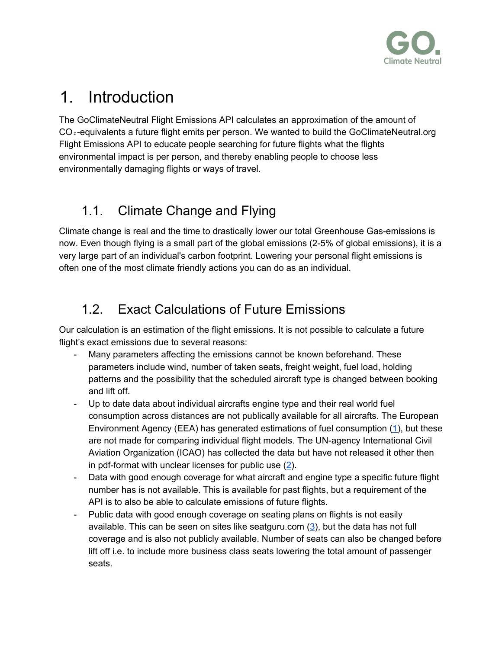

## <span id="page-2-0"></span>1. Introduction

The GoClimateNeutral Flight Emissions API calculates an approximation of the amount of CO₂-equivalents a future flight emits per person. We wanted to build the GoClimateNeutral.org Flight Emissions API to educate people searching for future flights what the flights environmental impact is per person, and thereby enabling people to choose less environmentally damaging flights or ways of travel.

## <span id="page-2-1"></span>1.1. Climate Change and Flying

Climate change is real and the time to drastically lower our total Greenhouse Gas-emissions is now. Even though flying is a small part of the global emissions (2-5% of global emissions), it is a very large part of an individual's carbon footprint. Lowering your personal flight emissions is often one of the most climate friendly actions you can do as an individual.

## <span id="page-2-2"></span>1.2. Exact Calculations of Future Emissions

Our calculation is an estimation of the flight emissions. It is not possible to calculate a future flight's exact emissions due to several reasons:

- Many parameters affecting the emissions cannot be known beforehand. These parameters include wind, number of taken seats, freight weight, fuel load, holding patterns and the possibility that the scheduled aircraft type is changed between booking and lift off.
- Up to date data about individual aircrafts engine type and their real world fuel consumption across distances are not publically available for all aircrafts. The European Environment Agency (EEA) has generated estimations of fuel consumption  $(1)$ , but these are not made for comparing individual flight models. The UN-agency International Civil Aviation Organization (ICAO) has collected the data but have not released it other then in pdf-format with unclear licenses for public use ([2\)](#page-10-0).
- Data with good enough coverage for what aircraft and engine type a specific future flight number has is not available. This is available for past flights, but a requirement of the API is to also be able to calculate emissions of future flights.
- Public data with good enough coverage on seating plans on flights is not easily available. This can be seen on sites like seatguru.com  $(3)$  $(3)$ , but the data has not full coverage and is also not publicly available. Number of seats can also be changed before lift off i.e. to include more business class seats lowering the total amount of passenger seats.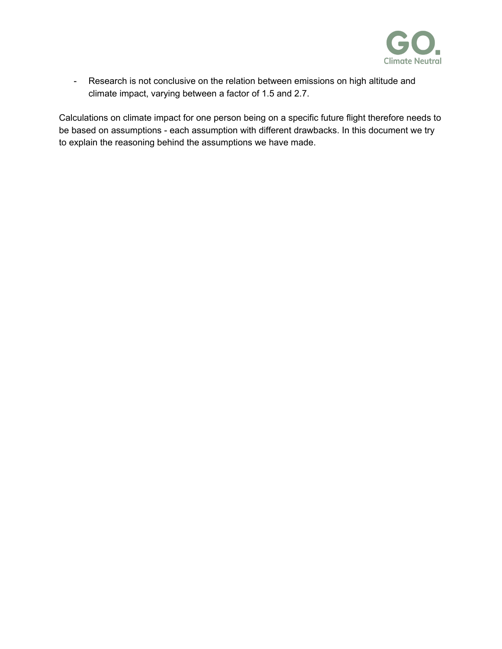

- Research is not conclusive on the relation between emissions on high altitude and climate impact, varying between a factor of 1.5 and 2.7.

Calculations on climate impact for one person being on a specific future flight therefore needs to be based on assumptions - each assumption with different drawbacks. In this document we try to explain the reasoning behind the assumptions we have made.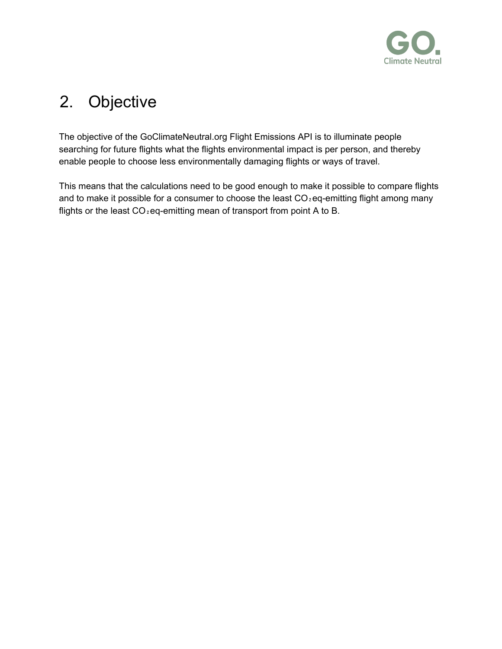

# <span id="page-4-0"></span>2. Objective

The objective of the GoClimateNeutral.org Flight Emissions API is to illuminate people searching for future flights what the flights environmental impact is per person, and thereby enable people to choose less environmentally damaging flights or ways of travel.

This means that the calculations need to be good enough to make it possible to compare flights and to make it possible for a consumer to choose the least  $CO<sub>2</sub>$ eq-emitting flight among many flights or the least CO<sub>2</sub> eq-emitting mean of transport from point A to B.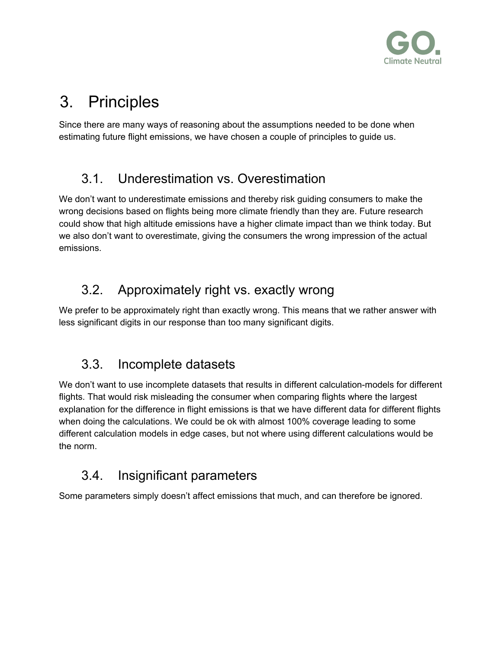

# <span id="page-5-0"></span>3. Principles

Since there are many ways of reasoning about the assumptions needed to be done when estimating future flight emissions, we have chosen a couple of principles to guide us.

## <span id="page-5-1"></span>3.1. Underestimation vs. Overestimation

We don't want to underestimate emissions and thereby risk guiding consumers to make the wrong decisions based on flights being more climate friendly than they are. Future research could show that high altitude emissions have a higher climate impact than we think today. But we also don't want to overestimate, giving the consumers the wrong impression of the actual emissions.

## <span id="page-5-2"></span>3.2. Approximately right vs. exactly wrong

We prefer to be approximately right than exactly wrong. This means that we rather answer with less significant digits in our response than too many significant digits.

## <span id="page-5-3"></span>3.3. Incomplete datasets

We don't want to use incomplete datasets that results in different calculation-models for different flights. That would risk misleading the consumer when comparing flights where the largest explanation for the difference in flight emissions is that we have different data for different flights when doing the calculations. We could be ok with almost 100% coverage leading to some different calculation models in edge cases, but not where using different calculations would be the norm.

## <span id="page-5-4"></span>3.4. Insignificant parameters

Some parameters simply doesn't affect emissions that much, and can therefore be ignored.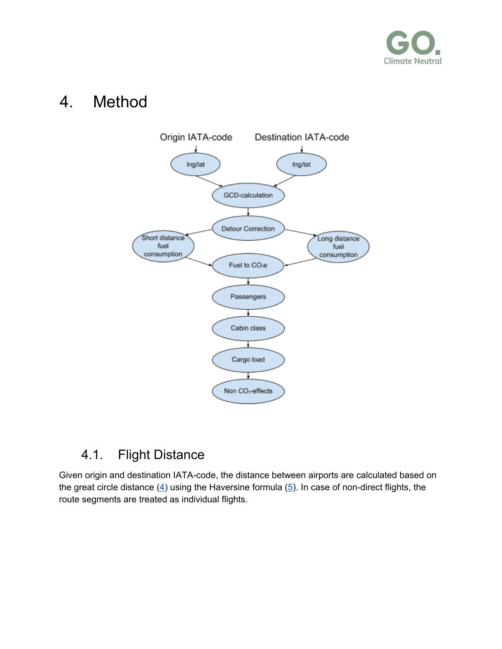

## <span id="page-6-0"></span>4. Method



#### <span id="page-6-1"></span>4.1. Flight Distance

Given origin and destination IATA-code, the distance between airports are calculated based on the great circle distance  $(4)$  $(4)$  using the Haversine formula  $(5)$  $(5)$ . In case of non-direct flights, the route segments are treated as individual flights.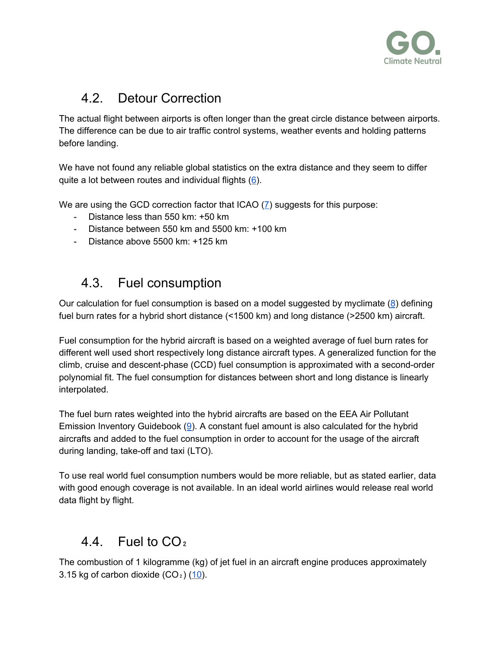

## <span id="page-7-0"></span>4.2. Detour Correction

The actual flight between airports is often longer than the great circle distance between airports. The difference can be due to air traffic control systems, weather events and holding patterns before landing.

We have not found any reliable global statistics on the extra distance and they seem to differ quite a lot between routes and individual flights  $(6)$  $(6)$ .

We are using the GCD correction factor that ICAO [\(7](#page-10-0)) suggests for this purpose:

- Distance less than 550 km: +50 km
- Distance between 550 km and 5500 km: +100 km
- Distance above 5500 km: +125 km

#### <span id="page-7-1"></span>4.3. Fuel consumption

Our calculation for fuel consumption is based on a model suggested by myclimate [\(8](#page-10-0)) defining fuel burn rates for a hybrid short distance (<1500 km) and long distance (>2500 km) aircraft.

Fuel consumption for the hybrid aircraft is based on a weighted average of fuel burn rates for different well used short respectively long distance aircraft types. A generalized function for the climb, cruise and descent-phase (CCD) fuel consumption is approximated with a second-order polynomial fit. The fuel consumption for distances between short and long distance is linearly interpolated.

The fuel burn rates weighted into the hybrid aircrafts are based on the EEA Air Pollutant Emission Inventory Guidebook ([9\)](#page-10-0). A constant fuel amount is also calculated for the hybrid aircrafts and added to the fuel consumption in order to account for the usage of the aircraft during landing, take-off and taxi (LTO).

To use real world fuel consumption numbers would be more reliable, but as stated earlier, data with good enough coverage is not available. In an ideal world airlines would release real world data flight by flight.

## <span id="page-7-2"></span>4.4 Fuel to  $CO<sub>2</sub>$

The combustion of 1 kilogramme (kg) of jet fuel in an aircraft engine produces approximately 3.15 kg of carbon dioxide  $(CO<sub>2</sub>)$   $(10)$  $(10)$  $(10)$ .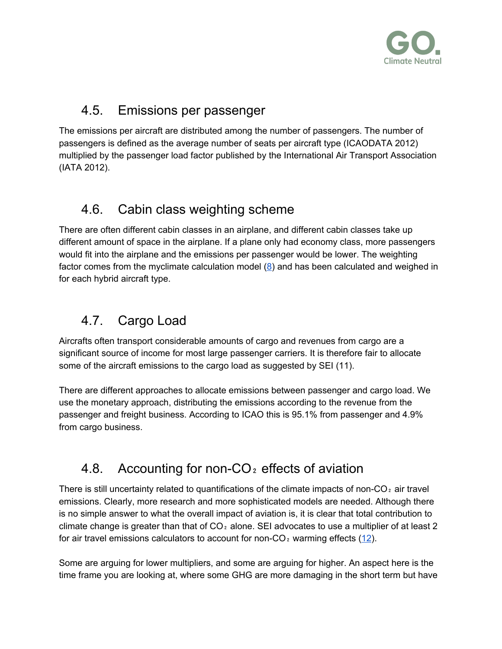

## <span id="page-8-0"></span>4.5. Emissions per passenger

The emissions per aircraft are distributed among the number of passengers. The number of passengers is defined as the average number of seats per aircraft type (ICAODATA 2012) multiplied by the passenger load factor published by the International Air Transport Association (IATA 2012).

## <span id="page-8-1"></span>4.6. Cabin class weighting scheme

There are often different cabin classes in an airplane, and different cabin classes take up different amount of space in the airplane. If a plane only had economy class, more passengers would fit into the airplane and the emissions per passenger would be lower. The weighting factor comes from the myclimate calculation model ([8\)](#page-10-0) and has been calculated and weighed in for each hybrid aircraft type.

## <span id="page-8-2"></span>4.7. Cargo Load

Aircrafts often transport considerable amounts of cargo and revenues from cargo are a significant source of income for most large passenger carriers. It is therefore fair to allocate some of the aircraft emissions to the cargo load as suggested by SEI (11).

There are different approaches to allocate emissions between passenger and cargo load. We use the monetary approach, distributing the emissions according to the revenue from the passenger and freight business. According to ICAO this is 95.1% from passenger and 4.9% from cargo business.

## <span id="page-8-3"></span>4.8. Accounting for non-CO $_2$  effects of aviation

There is still uncertainty related to quantifications of the climate impacts of non- $CO<sub>2</sub>$  air travel emissions. Clearly, more research and more sophisticated models are needed. Although there is no simple answer to what the overall impact of aviation is, it is clear that total contribution to climate change is greater than that of  $CO<sub>2</sub>$  alone. SEI advocates to use a multiplier of at least 2 for air travel emissions calculators to account for non- $CO<sub>2</sub>$  warming effects ([12](#page-10-0)).

Some are arguing for lower multipliers, and some are arguing for higher. An aspect here is the time frame you are looking at, where some GHG are more damaging in the short term but have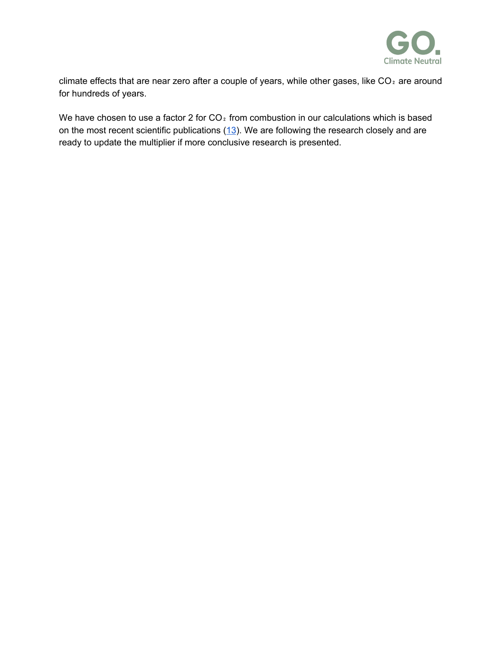

climate effects that are near zero after a couple of years, while other gases, like  $CO<sub>2</sub>$  are around for hundreds of years.

We have chosen to use a factor 2 for  $CO<sub>2</sub>$  from combustion in our calculations which is based on the most recent scientific publications  $(13)$  $(13)$ . We are following the research closely and are ready to update the multiplier if more conclusive research is presented.